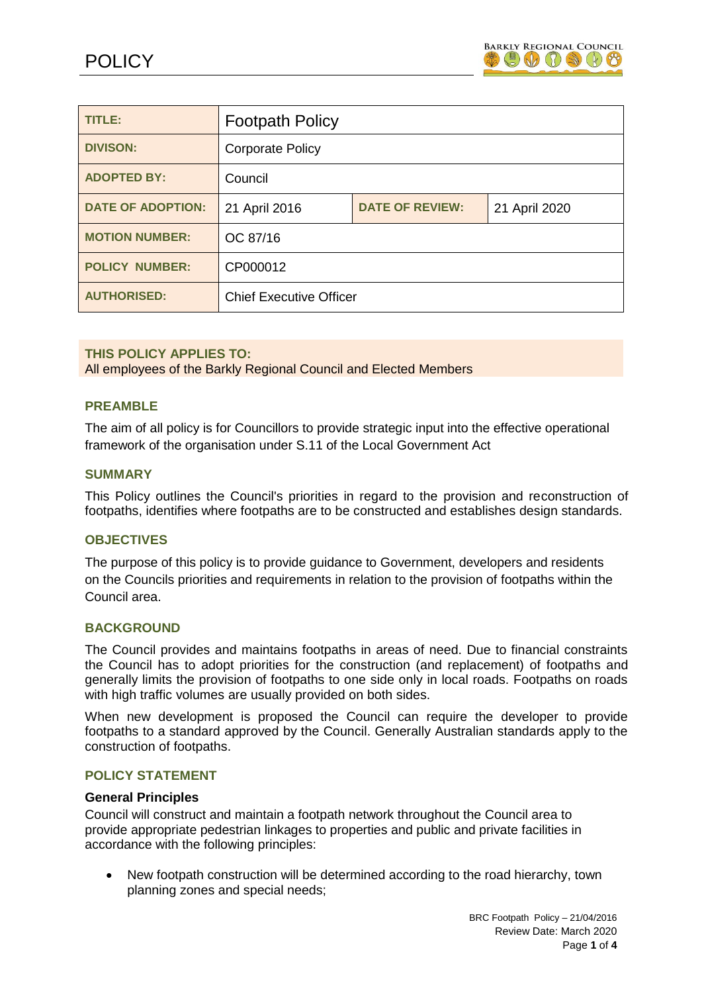

| TITLE:                   | <b>Footpath Policy</b>         |                        |               |
|--------------------------|--------------------------------|------------------------|---------------|
| <b>DIVISON:</b>          | <b>Corporate Policy</b>        |                        |               |
| <b>ADOPTED BY:</b>       | Council                        |                        |               |
| <b>DATE OF ADOPTION:</b> | 21 April 2016                  | <b>DATE OF REVIEW:</b> | 21 April 2020 |
| <b>MOTION NUMBER:</b>    | OC 87/16                       |                        |               |
| <b>POLICY NUMBER:</b>    | CP000012                       |                        |               |
| <b>AUTHORISED:</b>       | <b>Chief Executive Officer</b> |                        |               |

## **THIS POLICY APPLIES TO:**

All employees of the Barkly Regional Council and Elected Members

## **PREAMBLE**

The aim of all policy is for Councillors to provide strategic input into the effective operational framework of the organisation under S.11 of the Local Government Act

## **SUMMARY**

This Policy outlines the Council's priorities in regard to the provision and reconstruction of footpaths, identifies where footpaths are to be constructed and establishes design standards.

## **OBJECTIVES**

The purpose of this policy is to provide guidance to Government, developers and residents on the Councils priorities and requirements in relation to the provision of footpaths within the Council area.

## **BACKGROUND**

The Council provides and maintains footpaths in areas of need. Due to financial constraints the Council has to adopt priorities for the construction (and replacement) of footpaths and generally limits the provision of footpaths to one side only in local roads. Footpaths on roads with high traffic volumes are usually provided on both sides.

When new development is proposed the Council can require the developer to provide footpaths to a standard approved by the Council. Generally Australian standards apply to the construction of footpaths.

## **POLICY STATEMENT**

### **General Principles**

Council will construct and maintain a footpath network throughout the Council area to provide appropriate pedestrian linkages to properties and public and private facilities in accordance with the following principles:

 New footpath construction will be determined according to the road hierarchy, town planning zones and special needs;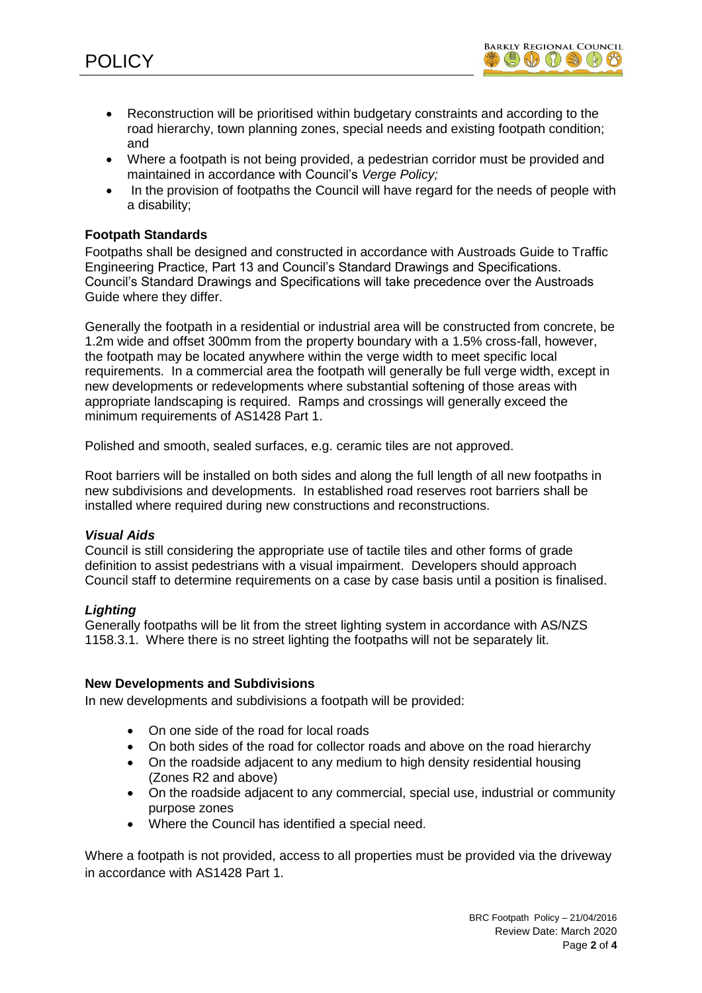

- Reconstruction will be prioritised within budgetary constraints and according to the road hierarchy, town planning zones, special needs and existing footpath condition; and
- Where a footpath is not being provided, a pedestrian corridor must be provided and maintained in accordance with Council's *Verge Policy;*
- In the provision of footpaths the Council will have regard for the needs of people with a disability;

## **Footpath Standards**

Footpaths shall be designed and constructed in accordance with Austroads Guide to Traffic Engineering Practice, Part 13 and Council's Standard Drawings and Specifications. Council's Standard Drawings and Specifications will take precedence over the Austroads Guide where they differ.

Generally the footpath in a residential or industrial area will be constructed from concrete, be 1.2m wide and offset 300mm from the property boundary with a 1.5% cross-fall, however, the footpath may be located anywhere within the verge width to meet specific local requirements. In a commercial area the footpath will generally be full verge width, except in new developments or redevelopments where substantial softening of those areas with appropriate landscaping is required. Ramps and crossings will generally exceed the minimum requirements of AS1428 Part 1.

Polished and smooth, sealed surfaces, e.g. ceramic tiles are not approved.

Root barriers will be installed on both sides and along the full length of all new footpaths in new subdivisions and developments. In established road reserves root barriers shall be installed where required during new constructions and reconstructions.

## *Visual Aids*

Council is still considering the appropriate use of tactile tiles and other forms of grade definition to assist pedestrians with a visual impairment. Developers should approach Council staff to determine requirements on a case by case basis until a position is finalised.

## *Lighting*

Generally footpaths will be lit from the street lighting system in accordance with AS/NZS 1158.3.1. Where there is no street lighting the footpaths will not be separately lit.

#### **New Developments and Subdivisions**

In new developments and subdivisions a footpath will be provided:

- On one side of the road for local roads
- On both sides of the road for collector roads and above on the road hierarchy
- On the roadside adjacent to any medium to high density residential housing (Zones R2 and above)
- On the roadside adjacent to any commercial, special use, industrial or community purpose zones
- Where the Council has identified a special need.

Where a footpath is not provided, access to all properties must be provided via the driveway in accordance with AS1428 Part 1.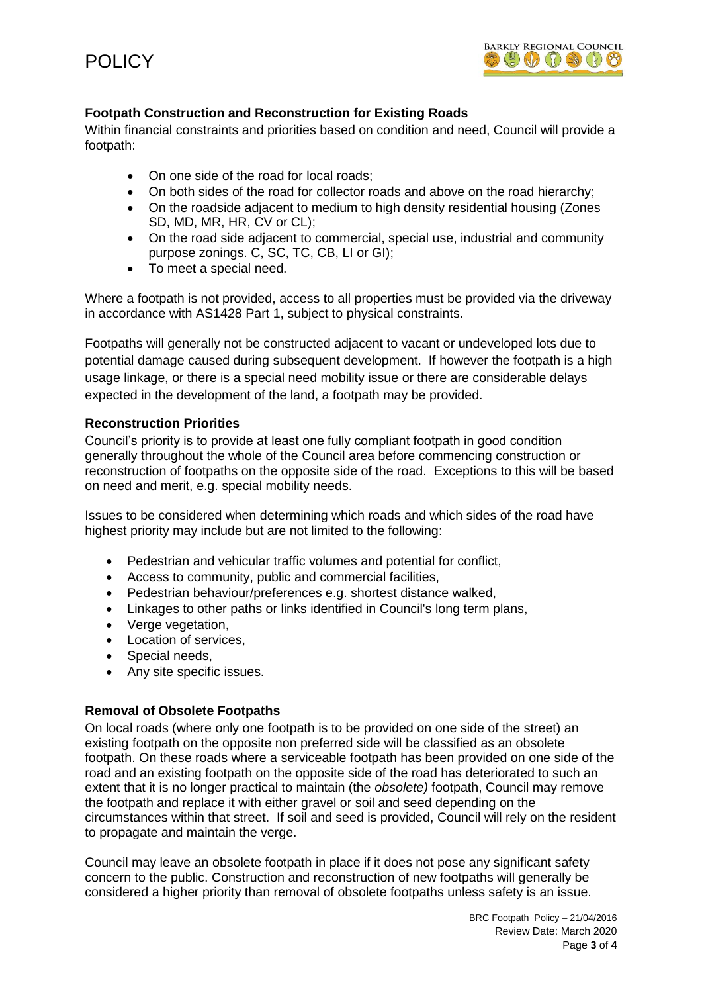

# **Footpath Construction and Reconstruction for Existing Roads**

Within financial constraints and priorities based on condition and need, Council will provide a footpath:

- On one side of the road for local roads:
- On both sides of the road for collector roads and above on the road hierarchy;
- On the roadside adjacent to medium to high density residential housing (Zones SD, MD, MR, HR, CV or CL);
- On the road side adjacent to commercial, special use, industrial and community purpose zonings. C, SC, TC, CB, LI or GI);
- To meet a special need.

Where a footpath is not provided, access to all properties must be provided via the driveway in accordance with AS1428 Part 1, subject to physical constraints.

Footpaths will generally not be constructed adjacent to vacant or undeveloped lots due to potential damage caused during subsequent development. If however the footpath is a high usage linkage, or there is a special need mobility issue or there are considerable delays expected in the development of the land, a footpath may be provided.

# **Reconstruction Priorities**

Council's priority is to provide at least one fully compliant footpath in good condition generally throughout the whole of the Council area before commencing construction or reconstruction of footpaths on the opposite side of the road. Exceptions to this will be based on need and merit, e.g. special mobility needs.

Issues to be considered when determining which roads and which sides of the road have highest priority may include but are not limited to the following:

- Pedestrian and vehicular traffic volumes and potential for conflict,
- Access to community, public and commercial facilities,
- Pedestrian behaviour/preferences e.g. shortest distance walked,
- Linkages to other paths or links identified in Council's long term plans,
- Verge vegetation.
- Location of services.
- Special needs.
- Any site specific issues.

# **Removal of Obsolete Footpaths**

On local roads (where only one footpath is to be provided on one side of the street) an existing footpath on the opposite non preferred side will be classified as an obsolete footpath. On these roads where a serviceable footpath has been provided on one side of the road and an existing footpath on the opposite side of the road has deteriorated to such an extent that it is no longer practical to maintain (the *obsolete)* footpath, Council may remove the footpath and replace it with either gravel or soil and seed depending on the circumstances within that street. If soil and seed is provided, Council will rely on the resident to propagate and maintain the verge.

Council may leave an obsolete footpath in place if it does not pose any significant safety concern to the public. Construction and reconstruction of new footpaths will generally be considered a higher priority than removal of obsolete footpaths unless safety is an issue.